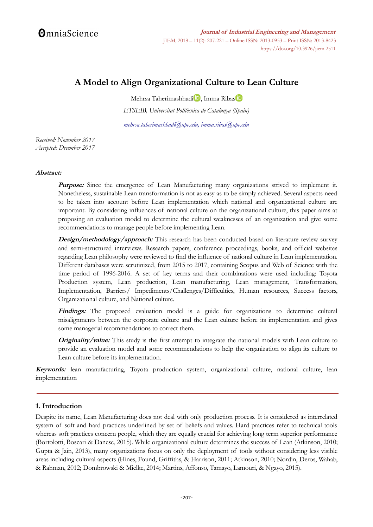# **A Model to Align Organizational Culture to Lean Culture**

Mehrsa Taherimashhadi D[,](http://orcid.org/0000-0003-4374-984X) Imma Riba[s](http://orcid.org/0000-0002-3701-118X) *ETSEIB, Universitat Politècnica de Catalunya (Spain)*

*mehrsa.taherimashhadi@upc.edu, imma.ribas@upc.edu*

*Received: November 2017 Accepted: December 2017*

#### **Abstract:**

**Purpose:** Since the emergence of Lean Manufacturing many organizations strived to implement it. Nonetheless, sustainable Lean transformation is not as easy as to be simply achieved. Several aspects need to be taken into account before Lean implementation which national and organizational culture are important. By considering influences of national culture on the organizational culture, this paper aims at proposing an evaluation model to determine the cultural weaknesses of an organization and give some recommendations to manage people before implementing Lean.

**Design/methodology/approach:** This research has been conducted based on literature review survey and semi-structured interviews. Research papers, conference proceedings, books, and official websites regarding Lean philosophy were reviewed to find the influence of national culture in Lean implementation. Different databases were scrutinized, from 2015 to 2017, containing Scopus and Web of Science with the time period of 1996-2016. A set of key terms and their combinations were used including: Toyota Production system, Lean production, Lean manufacturing, Lean management, Transformation, Implementation, Barriers/ Impediments/Challenges/Difficulties, Human resources, Success factors, Organizational culture, and National culture.

Findings: The proposed evaluation model is a guide for organizations to determine cultural misalignments between the corporate culture and the Lean culture before its implementation and gives some managerial recommendations to correct them.

**Originality/value:** This study is the first attempt to integrate the national models with Lean culture to provide an evaluation model and some recommendations to help the organization to align its culture to Lean culture before its implementation.

**Keywords:** lean manufacturing, Toyota production system, organizational culture, national culture, lean implementation

#### **1. Introduction**

Despite its name, Lean Manufacturing does not deal with only production process. It is considered as interrelated system of soft and hard practices underlined by set of beliefs and values. Hard practices refer to technical tools whereas soft practices concern people, which they are equally crucial for achieving long term superior performance (Bortolotti, Boscari & Danese, 2015). While organizational culture determines the success of Lean (Atkinson, 2010; Gupta & Jain, 2013), many organizations focus on only the deployment of tools without considering less visible areas including cultural aspects (Hines, Found, Griffiths, & Harrison, 2011; Atkinson, 2010; Nordin, Deros, Wahab, & Rahman, 2012; Dombrowski & Mielke, 2014; Martins, Affonso, Tamayo, Lamouri, & Ngayo, 2015).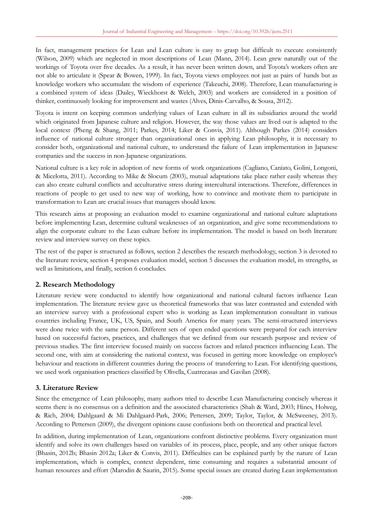In fact, management practices for Lean and Lean culture is easy to grasp but difficult to execute consistently (Wilson, 2009) which are neglected in most descriptions of Lean (Mann, 2014). Lean grew naturally out of the workings of Toyota over five decades. As a result, it has never been written down, and Toyota's workers often are not able to articulate it (Spear & Bowen, 1999). In fact, Toyota views employees not just as pairs of hands but as knowledge workers who accumulate the wisdom of experience (Takeuchi, 2008). Therefore, Lean manufacturing is a combined system of ideas (Dailey, Wieckhorst & Welch, 2003) and workers are considered in a position of thinker, continuously looking for improvement and wastes (Alves, Dinis-Carvalho, & Sousa, 2012).

Toyota is intent on keeping common underlying values of Lean culture in all its subsidiaries around the world which originated from Japanese culture and religion. However, the way those values are lived out is adapted to the local context (Pheng & Shang, 2011; Parkes, 2014; Liker & Convis, 2011). Although Parkes (2014) considers influence of national culture stronger than organizational ones in applying Lean philosophy, it is necessary to consider both, organizational and national culture, to understand the failure of Lean implementation in Japanese companies and the success in non-Japanese organizations.

National culture is a key role in adoption of new forms of work organizations (Cagliano, Caniato, Golini, Longoni, & Micelotta, 2011). According to Mike & Slocum (2003), mutual adaptations take place rather easily whereas they can also create cultural conflicts and acculturative stress during intercultural interactions. Therefore, differences in reactions of people to get used to new way of working, how to convince and motivate them to participate in transformation to Lean are crucial issues that managers should know.

This research aims at proposing an evaluation model to examine organizational and national culture adaptations before implementing Lean, determine cultural weaknesses of an organization, and give some recommendations to align the corporate culture to the Lean culture before its implementation. The model is based on both literature review and interview survey on these topics.

The rest of the paper is structured as follows, section 2 describes the research methodology, section 3 is devoted to the literature review, section 4 proposes evaluation model, section 5 discusses the evaluation model, its strengths, as well as limitations, and finally, section 6 concludes.

### **2. Research Methodology**

Literature review were conducted to identify how organizational and national cultural factors influence Lean implementation. The literature review gave us theoretical frameworks that was later contrasted and extended with an interview survey with a professional expert who is working as Lean implementation consultant in various countries including France, UK, US, Spain, and South America for many years. The semi-structured interviews were done twice with the same person. Different sets of open ended questions were prepared for each interview based on successful factors, practices, and challenges that we defined from our research purpose and review of previous studies. The first interview focused mainly on success factors and related practices influencing Lean. The second one, with aim at considering the national context, was focused in getting more knowledge on employee's behaviour and reactions in different countries during the process of transferring to Lean. For identifying questions, we used work organisation practices classified by Olivella, Cuatrecasas and Gavilan (2008).

### **3. Literature Review**

Since the emergence of Lean philosophy, many authors tried to describe Lean Manufacturing concisely whereas it seems there is no consensus on a definition and the associated characteristics (Shah & Ward, 2003; Hines, Holweg, & Rich, 2004; Dahlgaard & Mi Dahlgaard-Park, 2006; Pettersen, 2009; Taylor, Taylor, & McSweeney, 2013). According to Pettersen (2009), the divergent opinions cause confusions both on theoretical and practical level.

In addition, during implementation of Lean, organizations confront distinctive problems. Every organization must identify and solve its own challenges based on variables of its process, place, people, and any other unique factors (Bhasin, 2012b; Bhasin 2012a; Liker & Convis, 2011). Difficulties can be explained partly by the nature of Lean implementation, which is complex, context dependent, time consuming and requires a substantial amount of human resources and effort (Marodin & Saurin, 2015). Some special issues are created during Lean implementation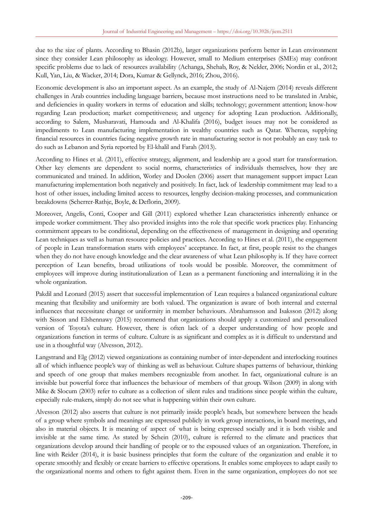due to the size of plants. According to Bhasin (2012b), larger organizations perform better in Lean environment since they consider Lean philosophy as ideology. However, small to Medium enterprises (SMEs) may confront specific problems due to lack of resources availability (Achanga, Shehab, Roy, & Nelder, 2006; Nordin et al., 2012; Kull, Yan, Liu, & Wacker, 2014; Dora, Kumar & Gellynck, 2016; Zhou, 2016).

Economic development is also an important aspect. As an example, the study of Al-Najem (2014) reveals different challenges in Arab countries including language barriers, because most instructions need to be translated in Arabic, and deficiencies in quality workers in terms of education and skills; technology; government attention; know-how regarding Lean production; market competitiveness; and urgency for adopting Lean production. Additionally, according to Salem, Musharavati, Hamouda and Al-Khalifa (2016), budget issues may not be considered as impediments to Lean manufacturing implementation in wealthy countries such as Qatar. Whereas, supplying financial resources in countries facing negative growth rate in manufacturing sector is not probably an easy task to do such as Lebanon and Syria reported by El-khalil and Farah (2013).

According to Hines et al. (2011), effective strategy, alignment, and leadership are a good start for transformation. Other key elements are dependent to social norms, characteristics of individuals themselves, how they are communicated and trained. In addition, Worley and Doolen (2006) assert that management support impact Lean manufacturing implementation both negatively and positively. In fact, lack of leadership commitment may lead to a host of other issues, including limited access to resources, lengthy decision-making processes, and communication breakdowns (Scherrer-Rathje, Boyle, & Deflorin, 2009).

Moreover, Angelis, Conti, Cooper and Gill (2011) explored whether Lean characteristics inherently enhance or impede worker commitment. They also provided insights into the role that specific work practices play. Enhancing commitment appears to be conditional, depending on the effectiveness of management in designing and operating Lean techniques as well as human resource policies and practices. According to Hines et al. (2011), the engagement of people in Lean transformation starts with employees' acceptance. In fact, at first, people resist to the changes when they do not have enough knowledge and the clear awareness of what Lean philosophy is. If they have correct perception of Lean benefits, broad utilizations of tools would be possible. Moreover, the commitment of employees will improve during institutionalization of Lean as a permanent functioning and internalizing it in the whole organization.

Pakdil and Leonard (2015) assert that successful implementation of Lean requires a balanced organizational culture meaning that flexibility and uniformity are both valued. The organization is aware of both internal and external influences that necessitate change or uniformity in member behaviours. Abrahamsson and Isaksson (2012) along with Sisson and Elshennawy (2015) recommend that organizations should apply a customized and personalized version of Toyota's culture. However, there is often lack of a deeper understanding of how people and organizations function in terms of culture. Culture is as significant and complex as it is difficult to understand and use in a thoughtful way (Alvesson, 2012).

Langstrand and Elg (2012) viewed organizations as containing number of inter-dependent and interlocking routines all of which influence people's way of thinking as well as behaviour. Culture shapes patterns of behaviour, thinking and speech of one group that makes members recognizable from another. In fact, organizational culture is an invisible but powerful force that influences the behaviour of members of that group. Wilson (2009) in along with Mike & Slocum (2003) refer to culture as a collection of silent rules and traditions since people within the culture, especially rule-makers, simply do not see what is happening within their own culture.

Alvesson (2012) also asserts that culture is not primarily inside people's heads, but somewhere between the heads of a group where symbols and meanings are expressed publicly in work group interactions, in board meetings, and also in material objects. It is meaning of aspect of what is being expressed socially and it is both visible and invisible at the same time. As stated by Schein (2010), culture is referred to the climate and practices that organizations develop around their handling of people or to the espoused values of an organization. Therefore, in line with Reider (2014), it is basic business principles that form the culture of the organization and enable it to operate smoothly and flexibly or create barriers to effective operations. It enables some employees to adapt easily to the organizational norms and others to fight against them. Even in the same organization, employees do not see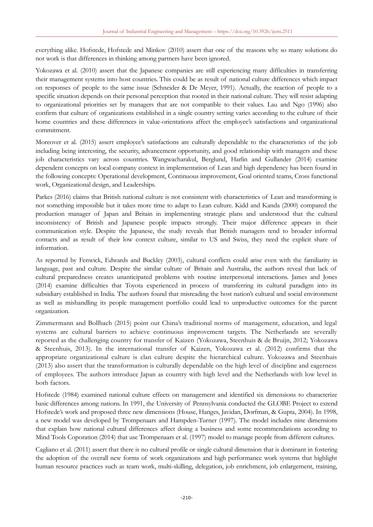everything alike. Hofstede, Hofstede and Minkov (2010) assert that one of the reasons why so many solutions do not work is that differences in thinking among partners have been ignored.

Yokozawa et al. (2010) assert that the Japanese companies are still experiencing many difficulties in transferring their management systems into host countries. This could be as result of national culture differences which impact on responses of people to the same issue (Schneider & De Meyer, 1991). Actually, the reaction of people to a specific situation depends on their personal perception that rooted in their national culture. They will resist adapting to organizational priorities set by managers that are not compatible to their values. Lau and Ngo (1996) also confirm that culture of organizations established in a single country setting varies according to the culture of their home countries and these differences in value-orientations affect the employee's satisfactions and organizational commitment.

Moreover et al. (2015) assert employee's satisfactions are culturally dependable to the characteristics of the job including being interesting, the security, advancement opportunity, and good relationship with managers and these job characteristics vary across countries. Wangwacharakul, Berglund, Harlin and Gullander (2014) examine dependent concepts on local company context in implementation of Lean and high dependency has been found in the following concepts: Operational development, Continuous improvement, Goal oriented teams, Cross functional work, Organizational design, and Leaderships.

Parkes (2016) claims that British national culture is not consistent with characteristics of Lean and transforming is not something impossible but it takes more time to adapt to Lean culture. Kidd and Kanda (2000) compared the production manager of Japan and Britain in implementing strategic plans and understood that the cultural inconsistency of British and Japanese people impacts strongly. Their major difference appears in their communication style. Despite the Japanese, the study reveals that British managers tend to broader informal contacts and as result of their low context culture, similar to US and Swiss, they need the explicit share of information.

As reported by Fenwick, Edwards and Buckley (2003), cultural conflicts could arise even with the familiarity in language, past and culture. Despite the similar culture of Britain and Australia, the authors reveal that lack of cultural preparedness creates unanticipated problems with routine interpersonal interactions. James and Jones (2014) examine difficulties that Toyota experienced in process of transferring its cultural paradigm into its subsidiary established in India. The authors found that misreading the host nation's cultural and social environment as well as mishandling its people management portfolio could lead to unproductive outcomes for the parent organization.

Zimmermann and Bollbach (2015) point out China's traditional norms of management, education, and legal systems are cultural barriers to achieve continuous improvement targets. The Netherlands are severally reported as the challenging country for transfer of Kaizen (Yokozawa, Steenhuis & de Bruijn, 2012; Yokozawa & Steenhuis, 2013). In the international transfer of Kaizen, Yokozawa et al. (2012) confirms that the appropriate organizational culture is clan culture despite the hierarchical culture. Yokozawa and Steenhuis (2013) also assert that the transformation is culturally dependable on the high level of discipline and eagerness of employees. The authors introduce Japan as country with high level and the Netherlands with low level in both factors.

Hofstede (1984) examined national culture effects on management and identified six dimensions to characterize basic differences among nations. In 1991, the University of Pennsylvania conducted the GLOBE Project to extend Hofstede's work and proposed three new dimensions (House, Hanges, Javidan, Dorfman, & Gupta, 2004). In 1998, a new model was developed by Trompenaars and Hampden-Turner (1997). The model includes nine dimensions that explain how national cultural differences affect doing a business and some recommendations according to Mind Tools Coporation (2014) that use Trompenaars et al. (1997) model to manage people from different cultures.

Cagliano et al. (2011) assert that there is no cultural profile or single cultural dimension that is dominant in fostering the adoption of the overall new forms of work organizations and high performance work systems that highlight human resource practices such as team work, multi-skilling, delegation, job enrichment, job enlargement, training,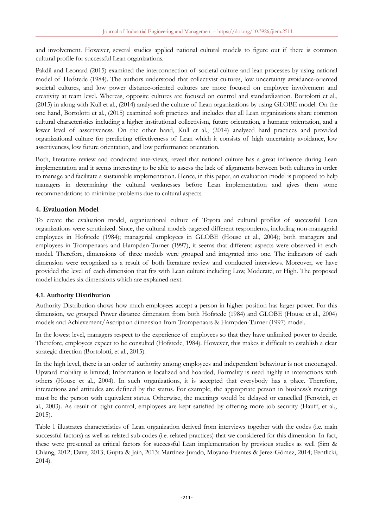and involvement. However, several studies applied national cultural models to figure out if there is common cultural profile for successful Lean organizations.

Pakdil and Leonard (2015) examined the interconnection of societal culture and lean processes by using national model of Hofstede (1984). The authors understood that collectivist cultures, low uncertainty avoidance-oriented societal cultures, and low power distance-oriented cultures are more focused on employee involvement and creativity at team level. Whereas, opposite cultures are focused on control and standardization. Bortolotti et al., (2015) in along with Kull et al., (2014) analysed the culture of Lean organizations by using GLOBE model. On the one hand, Bortolotti et al., (2015) examined soft practices and includes that all Lean organizations share common cultural characteristics including a higher institutional collectivism, future orientation, a humane orientation, and a lower level of assertiveness. On the other hand, Kull et al., (2014) analysed hard practices and provided organizational culture for predicting effectiveness of Lean which it consists of high uncertainty avoidance, low assertiveness, low future orientation, and low performance orientation.

Both, literature review and conducted interviews, reveal that national culture has a great influence during Lean implementation and it seems interesting to be able to assess the lack of alignments between both cultures in order to manage and facilitate a sustainable implementation. Hence, in this paper, an evaluation model is proposed to help managers in determining the cultural weaknesses before Lean implementation and gives them some recommendations to minimize problems due to cultural aspects.

# **4. Evaluation Model**

To create the evaluation model, organizational culture of Toyota and cultural profiles of successful Lean organizations were scrutinized. Since, the cultural models targeted different respondents, including non-managerial employees in Hofstede (1984); managerial employees in GLOBE (House et al., 2004); both managers and employees in Trompenaars and Hampden-Turner (1997), it seems that different aspects were observed in each model. Therefore, dimensions of three models were grouped and integrated into one. The indicators of each dimension were recognized as a result of both literature review and conducted interviews. Moreover, we have provided the level of each dimension that fits with Lean culture including Low, Moderate, or High. The proposed model includes six dimensions which are explained next.

### **4.1. Authority Distribution**

Authority Distribution shows how much employees accept a person in higher position has larger power. For this dimension, we grouped Power distance dimension from both Hofstede (1984) and GLOBE (House et al., 2004) models and Achievement/Ascription dimension from Trompenaars & Hampden-Turner (1997) model.

In the lowest level, managers respect to the experience of employees so that they have unlimited power to decide. Therefore, employees expect to be consulted (Hofstede, 1984). However, this makes it difficult to establish a clear strategic direction (Bortolotti, et al., 2015).

In the high level, there is an order of authority among employees and independent behaviour is not encouraged. Upward mobility is limited; Information is localized and hoarded; Formality is used highly in interactions with others (House et al., 2004). In such organizations, it is accepted that everybody has a place. Therefore, interactions and attitudes are defined by the status. For example, the appropriate person in business's meetings must be the person with equivalent status. Otherwise, the meetings would be delayed or cancelled (Fenwick, et al., 2003). As result of tight control, employees are kept satisfied by offering more job security (Hauff, et al., 2015).

Table 1 illustrates characteristics of Lean organization derived from interviews together with the codes (i.e. main successful factors) as well as related sub-codes (i.e. related practices) that we considered for this dimension. In fact, these were presented as critical factors for successful Lean implementation by previous studies as well (Sim & Chiang, 2012; Dave, 2013; Gupta & Jain, 2013; Martínez-Jurado, Moyano-Fuentes & Jerez-Gómez, 2014; Pentlicki, 2014).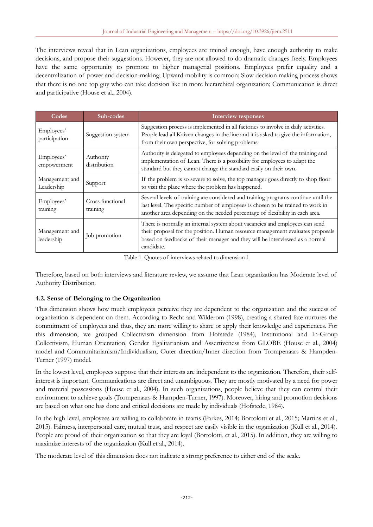The interviews reveal that in Lean organizations, employees are trained enough, have enough authority to make decisions, and propose their suggestions. However, they are not allowed to do dramatic changes freely. Employees have the same opportunity to promote to higher managerial positions. Employees prefer equality and a decentralization of power and decision-making; Upward mobility is common; Slow decision making process shows that there is no one top guy who can take decision like in more hierarchical organization; Communication is direct and participative (House et al., 2004).

| Codes                        | Sub-codes                    | <b>Interview responses</b>                                                                                                                                                                                                                                  |
|------------------------------|------------------------------|-------------------------------------------------------------------------------------------------------------------------------------------------------------------------------------------------------------------------------------------------------------|
| Employees'<br>participation  | Suggestion system            | Suggestion process is implemented in all factories to involve in daily activities.<br>People lead all Kaizen changes in the line and it is asked to give the information,<br>from their own perspective, for solving problems.                              |
| Employees'<br>empowerment    | Authority<br>distribution    | Authority is delegated to employees depending on the level of the training and<br>implementation of Lean. There is a possibility for employees to adapt the<br>standard but they cannot change the standard easily on their own.                            |
| Management and<br>Leadership | Support                      | If the problem is so severe to solve, the top manager goes directly to shop floor<br>to visit the place where the problem has happened.                                                                                                                     |
| Employees'<br>training       | Cross functional<br>training | Several levels of training are considered and training programs continue until the<br>last level. The specific number of employees is chosen to be trained to work in<br>another area depending on the needed percentage of flexibility in each area.       |
| Management and<br>leadership | Job promotion                | There is normally an internal system about vacancies and employees can send<br>their proposal for the position. Human resource management evaluates proposals<br>based on feedbacks of their manager and they will be interviewed as a normal<br>candidate. |

Table 1. Quotes of interviews related to dimension 1

Therefore, based on both interviews and literature review, we assume that Lean organization has Moderate level of Authority Distribution.

# **4.2. Sense of Belonging to the Organization**

This dimension shows how much employees perceive they are dependent to the organization and the success of organization is dependent on them. According to Recht and Wilderom (1998), creating a shared fate nurtures the commitment of employees and thus, they are more willing to share or apply their knowledge and experiences. For this dimension, we grouped Collectivism dimension from Hofstede (1984), Institutional and In-Group Collectivism, Human Orientation, Gender Egalitarianism and Assertiveness from GLOBE (House et al., 2004) model and Communitarianism/Individualism, Outer direction/Inner direction from Trompenaars & Hampden-Turner (1997) model.

In the lowest level, employees suppose that their interests are independent to the organization. Therefore, their selfinterest is important. Communications are direct and unambiguous. They are mostly motivated by a need for power and material possessions (House et al., 2004). In such organizations, people believe that they can control their environment to achieve goals (Trompenaars & Hampden-Turner, 1997). Moreover, hiring and promotion decisions are based on what one has done and critical decisions are made by individuals (Hofstede, 1984).

In the high level, employees are willing to collaborate in teams (Parkes, 2014; Bortolotti et al., 2015; Martins et al., 2015). Fairness, interpersonal care, mutual trust, and respect are easily visible in the organization (Kull et al., 2014). People are proud of their organization so that they are loyal (Bortolotti, et al., 2015). In addition, they are willing to maximize interests of the organization (Kull et al., 2014).

The moderate level of this dimension does not indicate a strong preference to either end of the scale.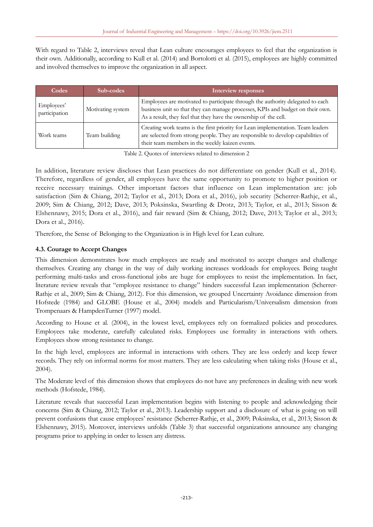With regard to Table 2, interviews reveal that Lean culture encourages employees to feel that the organization is their own. Additionally, according to Kull et al. (2014) and Bortolotti et al. (2015), employees are highly committed and involved themselves to improve the organization in all aspect.

| Codes                       | Sub-codes         | Interview responses                                                                                                                                                                                                                  |
|-----------------------------|-------------------|--------------------------------------------------------------------------------------------------------------------------------------------------------------------------------------------------------------------------------------|
| Employees'<br>participation | Motivating system | Employees are motivated to participate through the authority delegated to each<br>business unit so that they can manage processes, KPIs and budget on their own.<br>As a result, they feel that they have the ownership of the cell. |
| Work teams                  | Team building     | Creating work teams is the first priority for Lean implementation. Team leaders<br>are selected from strong people. They are responsible to develop capabilities of<br>their team members in the weekly kaizen events.               |

Table 2. Quotes of interviews related to dimension 2

In addition, literature review discloses that Lean practices do not differentiate on gender (Kull et al., 2014). Therefore, regardless of gender, all employees have the same opportunity to promote to higher position or receive necessary trainings. Other important factors that influence on Lean implementation are: job satisfaction (Sim & Chiang, 2012; Taylor et al., 2013; Dora et al., 2016), job security (Scherrer-Rathje, et al., 2009; Sim & Chiang, 2012; Dave, 2013; Poksinska, Swartling & Drotz, 2013; Taylor, et al., 2013; Sisson & Elshennawy, 2015; Dora et al., 2016), and fair reward (Sim & Chiang, 2012; Dave, 2013; Taylor et al., 2013; Dora et al., 2016).

Therefore, the Sense of Belonging to the Organization is in High level for Lean culture.

### **4.3. Courage to Accept Changes**

This dimension demonstrates how much employees are ready and motivated to accept changes and challenge themselves. Creating any change in the way of daily working increases workloads for employees. Being taught performing multi-tasks and cross-functional jobs are huge for employees to resist the implementation. In fact, literature review reveals that "employee resistance to change" hinders successful Lean implementation (Scherrer-Rathje et al., 2009; Sim & Chiang, 2012). For this dimension, we grouped Uncertainty Avoidance dimension from Hofstede (1984) and GLOBE (House et al., 2004) models and Particularism/Universalism dimension from Trompenaars & HampdenTurner (1997) model.

According to House et al. (2004), in the lowest level, employees rely on formalized policies and procedures. Employees take moderate, carefully calculated risks. Employees use formality in interactions with others. Employees show strong resistance to change.

In the high level, employees are informal in interactions with others. They are less orderly and keep fewer records. They rely on informal norms for most matters. They are less calculating when taking risks (House et al., 2004).

The Moderate level of this dimension shows that employees do not have any preferences in dealing with new work methods (Hofstede, 1984).

Literature reveals that successful Lean implementation begins with listening to people and acknowledging their concerns (Sim & Chiang, 2012; Taylor et al., 2013). Leadership support and a disclosure of what is going on will prevent confusions that cause employees' resistance (Scherrer-Rathje, et al., 2009; Poksinska, et al., 2013; Sisson & Elshennawy, 2015). Moreover, interviews unfolds (Table 3) that successful organizations announce any changing programs prior to applying in order to lessen any distress.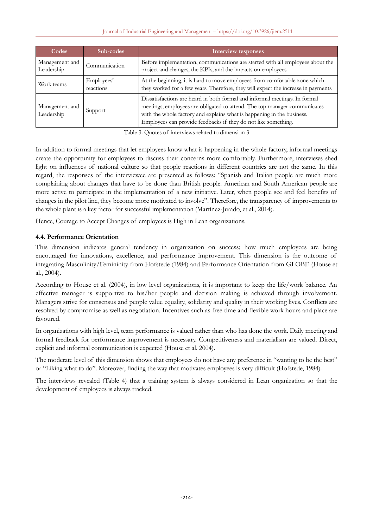Journal of Industrial Engineering and Management – https://doi.org/10.3926/jiem.2511

| Codes                        | Sub-codes               | <b>Interview responses</b>                                                                                                                                                                                                                                                                          |
|------------------------------|-------------------------|-----------------------------------------------------------------------------------------------------------------------------------------------------------------------------------------------------------------------------------------------------------------------------------------------------|
| Management and<br>Leadership | Communication           | Before implementation, communications are started with all employees about the<br>project and changes, the KPIs, and the impacts on employees.                                                                                                                                                      |
| Work teams                   | Employees'<br>reactions | At the beginning, it is hard to move employees from comfortable zone which<br>they worked for a few years. Therefore, they will expect the increase in payments.                                                                                                                                    |
| Management and<br>Leadership | Support                 | Dissatisfactions are heard in both formal and informal meetings. In formal<br>meetings, employees are obligated to attend. The top manager communicates<br>with the whole factory and explains what is happening in the business.<br>Employees can provide feedbacks if they do not like something. |

Table 3. Quotes of interviews related to dimension 3

In addition to formal meetings that let employees know what is happening in the whole factory, informal meetings create the opportunity for employees to discuss their concerns more comfortably. Furthermore, interviews shed light on influences of national culture so that people reactions in different countries are not the same. In this regard, the responses of the interviewee are presented as follows: "Spanish and Italian people are much more complaining about changes that have to be done than British people. American and South American people are more active to participate in the implementation of a new initiative. Later, when people see and feel benefits of changes in the pilot line, they become more motivated to involve". Therefore, the transparency of improvements to the whole plant is a key factor for successful implementation (Martínez-Jurado, et al., 2014).

Hence, Courage to Accept Changes of employees is High in Lean organizations.

### **4.4. Performance Orientation**

This dimension indicates general tendency in organization on success; how much employees are being encouraged for innovations, excellence, and performance improvement. This dimension is the outcome of integrating Masculinity/Femininity from Hofstede (1984) and Performance Orientation from GLOBE (House et al., 2004).

According to House et al. (2004), in low level organizations, it is important to keep the life/work balance. An effective manager is supportive to his/her people and decision making is achieved through involvement. Managers strive for consensus and people value equality, solidarity and quality in their working lives. Conflicts are resolved by compromise as well as negotiation. Incentives such as free time and flexible work hours and place are favoured.

In organizations with high level, team performance is valued rather than who has done the work. Daily meeting and formal feedback for performance improvement is necessary. Competitiveness and materialism are valued. Direct, explicit and informal communication is expected (House et al. 2004).

The moderate level of this dimension shows that employees do not have any preference in "wanting to be the best" or "Liking what to do". Moreover, finding the way that motivates employees is very difficult (Hofstede, 1984).

The interviews revealed (Table 4) that a training system is always considered in Lean organization so that the development of employees is always tracked.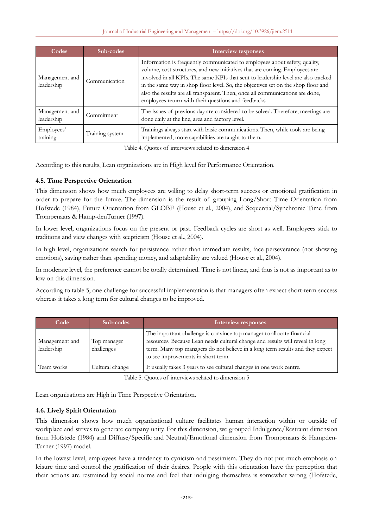| Codes                        | Sub-codes       | Interview responses                                                                                                                                                                                                                                                                                                                                                                                                                                                           |
|------------------------------|-----------------|-------------------------------------------------------------------------------------------------------------------------------------------------------------------------------------------------------------------------------------------------------------------------------------------------------------------------------------------------------------------------------------------------------------------------------------------------------------------------------|
| Management and<br>leadership | Communication   | Information is frequently communicated to employees about safety, quality,<br>volume, cost structures, and new initiatives that are coming. Employees are<br>involved in all KPIs. The same KPIs that sent to leadership level are also tracked<br>in the same way in shop floor level. So, the objectives set on the shop floor and<br>also the results are all transparent. Then, once all communications are done,<br>employees return with their questions and feedbacks. |
| Management and<br>leadership | Commitment      | The issues of previous day are considered to be solved. Therefore, meetings are<br>done daily at the line, area and factory level.                                                                                                                                                                                                                                                                                                                                            |
| Employees'<br>training       | Training system | Trainings always start with basic communications. Then, while tools are being<br>implemented, more capabilities are taught to them.                                                                                                                                                                                                                                                                                                                                           |

Table 4. Quotes of interviews related to dimension 4

According to this results, Lean organizations are in High level for Performance Orientation.

#### **4.5. Time Perspective Orientation**

This dimension shows how much employees are willing to delay short-term success or emotional gratification in order to prepare for the future. The dimension is the result of grouping Long/Short Time Orientation from Hofstede (1984), Future Orientation from GLOBE (House et al., 2004), and Sequential/Synchronic Time from Trompenaars & Hamp-denTurner (1997).

In lower level, organizations focus on the present or past. Feedback cycles are short as well. Employees stick to traditions and view changes with scepticism (House et al., 2004).

In high level, organizations search for persistence rather than immediate results, face perseverance (not showing emotions), saving rather than spending money, and adaptability are valued (House et al., 2004).

In moderate level, the preference cannot be totally determined. Time is not linear, and thus is not as important as to low on this dimension.

According to table 5, one challenge for successful implementation is that managers often expect short-term success whereas it takes a long term for cultural changes to be improved.

| Code                         | Sub-codes                 | Interview responses                                                                                                                                                                                                                                                           |
|------------------------------|---------------------------|-------------------------------------------------------------------------------------------------------------------------------------------------------------------------------------------------------------------------------------------------------------------------------|
| Management and<br>leadership | Top manager<br>challenges | The important challenge is convince top manager to allocate financial<br>resources. Because Lean needs cultural change and results will reveal in long<br>term. Many top managers do not believe in a long term results and they expect<br>to see improvements in short term. |
| Team works                   | Cultural change           | It usually takes 3 years to see cultural changes in one work centre.                                                                                                                                                                                                          |

Table 5. Quotes of interviews related to dimension 5

Lean organizations are High in Time Perspective Orientation.

### **4.6. Lively Spirit Orientation**

This dimension shows how much organizational culture facilitates human interaction within or outside of workplace and strives to generate company unity. For this dimension, we grouped Indulgence/Restraint dimension from Hofstede (1984) and Diffuse/Specific and Neutral/Emotional dimension from Trompenaars & Hampden-Turner (1997) model.

In the lowest level, employees have a tendency to cynicism and pessimism. They do not put much emphasis on leisure time and control the gratification of their desires. People with this orientation have the perception that their actions are restrained by social norms and feel that indulging themselves is somewhat wrong (Hofstede,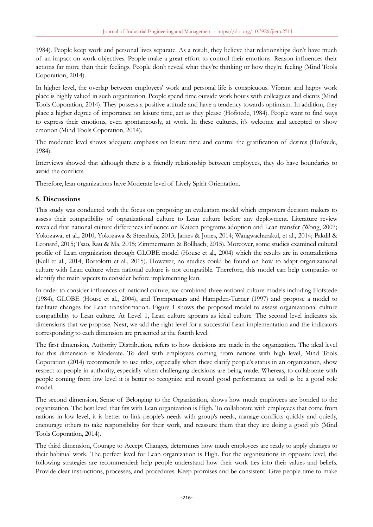1984). People keep work and personal lives separate. As a result, they believe that relationships don't have much of an impact on work objectives. People make a great effort to control their emotions. Reason influences their actions far more than their feelings. People don't reveal what they're thinking or how they're feeling (Mind Tools Coporation, 2014).

In higher level, the overlap between employees' work and personal life is conspicuous. Vibrant and happy work place is highly valued in such organization. People spend time outside work hours with colleagues and clients (Mind Tools Coporation, 2014). They possess a positive attitude and have a tendency towards optimism. In addition, they place a higher degree of importance on leisure time, act as they please (Hofstede, 1984). People want to find ways to express their emotions, even spontaneously, at work. In these cultures, it's welcome and accepted to show emotion (Mind Tools Coporation, 2014).

The moderate level shows adequate emphasis on leisure time and control the gratification of desires (Hofstede, 1984).

Interviews showed that although there is a friendly relationship between employees, they do have boundaries to avoid the conflicts.

Therefore, lean organizations have Moderate level of Lively Spirit Orientation.

### **5. Discussions**

This study was conducted with the focus on proposing an evaluation model which empowers decision makers to assess their compatibility of organizational culture to Lean culture before any deployment. Literature review revealed that national culture differences influence on Kaizen programs adoption and Lean transfer (Wong, 2007; Yokozawa, et al., 2010; Yokozawa & Steenhuis, 2013; James & Jones, 2014; Wangwacharakul, et al., 2014; Pakdil & Leonard, 2015; Tsao, Rau & Ma, 2015; Zimmermann & Bollbach, 2015). Moreover, some studies examined cultural profile of Lean organization through GLOBE model (House et al., 2004) which the results are in contradictions (Kull et al., 2014; Bortolotti et al., 2015). However, no studies could be found on how to adapt organizational culture with Lean culture when national culture is not compatible. Therefore, this model can help companies to identify the main aspects to consider before implementing lean.

In order to consider influences of national culture, we combined three national culture models including Hofstede (1984), GLOBE (House et al., 2004), and Trompenaars and Hampden-Turner (1997) and propose a model to facilitate changes for Lean transformation. Figure 1 shows the proposed model to assess organizational culture compatibility to Lean culture. At Level 1, Lean culture appears as ideal culture. The second level indicates six dimensions that we propose. Next, we add the right level for a successful Lean implementation and the indicators corresponding to each dimension are presented at the fourth level.

The first dimension, Authority Distribution, refers to how decisions are made in the organization. The ideal level for this dimension is Moderate. To deal with employees coming from nations with high level, Mind Tools Coporation (2014) recommends to use titles, especially when these clarify people's status in an organization, show respect to people in authority, especially when challenging decisions are being made. Whereas, to collaborate with people coming from low level it is better to recognize and reward good performance as well as be a good role model.

The second dimension, Sense of Belonging to the Organization, shows how much employees are bonded to the organization. The best level that fits with Lean organization is High. To collaborate with employees that come from nations in low level, it is better to link people's needs with group's needs, manage conflicts quickly and quietly, encourage others to take responsibility for their work, and reassure them that they are doing a good job (Mind Tools Coporation, 2014).

The third dimension, Courage to Accept Changes, determines how much employees are ready to apply changes to their habitual work. The perfect level for Lean organization is High. For the organizations in opposite level, the following strategies are recommended: help people understand how their work ties into their values and beliefs. Provide clear instructions, processes, and procedures. Keep promises and be consistent. Give people time to make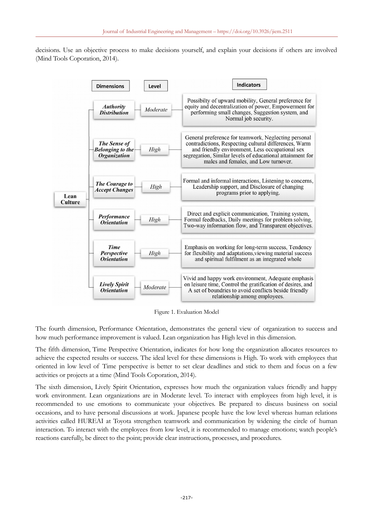decisions. Use an objective process to make decisions yourself, and explain your decisions if others are involved (Mind Tools Coporation, 2014).



Figure 1. Evaluation Model

The fourth dimension, Performance Orientation, demonstrates the general view of organization to success and how much performance improvement is valued. Lean organization has High level in this dimension.

The fifth dimension, Time Perspective Orientation, indicates for how long the organization allocates resources to achieve the expected results or success. The ideal level for these dimensions is High. To work with employees that oriented in low level of Time perspective is better to set clear deadlines and stick to them and focus on a few activities or projects at a time (Mind Tools Coporation, 2014).

The sixth dimension, Lively Spirit Orientation, expresses how much the organization values friendly and happy work environment. Lean organizations are in Moderate level. To interact with employees from high level, it is recommended to use emotions to communicate your objectives. Be prepared to discuss business on social occasions, and to have personal discussions at work. Japanese people have the low level whereas human relations activities called HUREAI at Toyota strengthen teamwork and communication by widening the circle of human interaction. To interact with the employees from low level, it is recommended to manage emotions; watch people's reactions carefully, be direct to the point; provide clear instructions, processes, and procedures.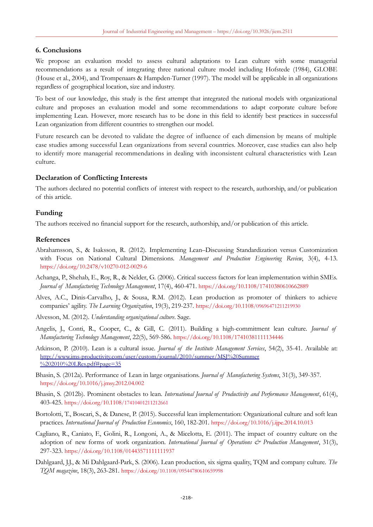#### **6. Conclusions**

We propose an evaluation model to assess cultural adaptations to Lean culture with some managerial recommendations as a result of integrating three national culture model including Hofstede (1984), GLOBE (House et al., 2004), and Trompenaars & Hampden-Turner (1997). The model will be applicable in all organizations regardless of geographical location, size and industry.

To best of our knowledge, this study is the first attempt that integrated the national models with organizational culture and proposes an evaluation model and some recommendations to adapt corporate culture before implementing Lean. However, more research has to be done in this field to identify best practices in successful Lean organization from different countries to strengthen our model.

Future research can be devoted to validate the degree of influence of each dimension by means of multiple case studies among successful Lean organizations from several countries. Moreover, case studies can also help to identify more managerial recommendations in dealing with inconsistent cultural characteristics with Lean culture.

#### **Declaration of Conflicting Interests**

The authors declared no potential conflicts of interest with respect to the research, authorship, and/or publication of this article.

#### **Funding**

The authors received no financial support for the research, authorship, and/or publication of this article.

#### **References**

- Abrahamsson, S., & Isaksson, R. (2012). Implementing Lean–Discussing Standardization versus Customization with Focus on National Cultural Dimensions. *Management and Production Engineering Review*, 3(4), 4-13. <https://doi.org/10.2478/v10270-012-0029-6>
- Achanga, P., Shehab, E., Roy, R., & Nelder, G. (2006). Critical success factors for lean implementation within SMEs. *Journal of Manufacturing Technology Management*, 17(4), 460-471. <https://doi.org/10.1108/17410380610662889>
- Alves, A.C., Dinis-Carvalho, J., & Sousa, R.M. (2012). Lean production as promoter of thinkers to achieve companies' agility. *The Learning Organization*, 19(3), 219-237. https://doi.org/10.1108/09696471211219930
- Alvesson, M. (2012). *Understanding organizational culture*. Sage.
- Angelis, J., Conti, R., Cooper, C., & Gill, C. (2011). Building a high-commitment lean culture. *Journal of Manufacturing Technology Management*, 22(5), 569-586. <https://doi.org/10.1108/17410381111134446>
- Atkinson, P. (2010). Lean is a cultural issue. *Journal of the Institute Management Services*, 54(2), 35-41. Available at: [http://www.ims-productivity.com/user/custom/journal/2010/summer/MSJ%20Summer](http://www.ims-productivity.com/user/custom/journal/2010/summer/MSJ%20Summer%202010%20LRes.pdf#page=35) [%202010%20LRes.pdf#page=35](http://www.ims-productivity.com/user/custom/journal/2010/summer/MSJ%20Summer%202010%20LRes.pdf#page=35)
- Bhasin, S. (2012a). Performance of Lean in large organisations. *Journal of Manufacturing Systems*, 31(3), 349-357. <https://doi.org/10.1016/j.jmsy.2012.04.002>
- Bhasin, S. (2012b). Prominent obstacles to lean. *International Journal of Productivity and Performance Management*, 61(4), 403-425. https://doi.org/10.1108/17410401211212661
- Bortolotti, T., Boscari, S., & Danese, P. (2015). Successful lean implementation: Organizational culture and soft lean practices. *International Journal of Production Economics*, 160, 182-201. <https://doi.org/10.1016/j.ijpe.2014.10.013>
- Cagliano, R., Caniato, F., Golini, R., Longoni, A., & Micelotta, E. (2011). The impact of country culture on the adoption of new forms of work organization. *International Journal of Operations & Production Management*, 31(3), 297-323. <https://doi.org/10.1108/01443571111111937>
- Dahlgaard, J.J., & Mi Dahlgaard-Park, S. (2006). Lean production, six sigma quality, TQM and company culture. *The TQM magazine*, 18(3), 263-281. https://doi.org/10.1108/09544780610659998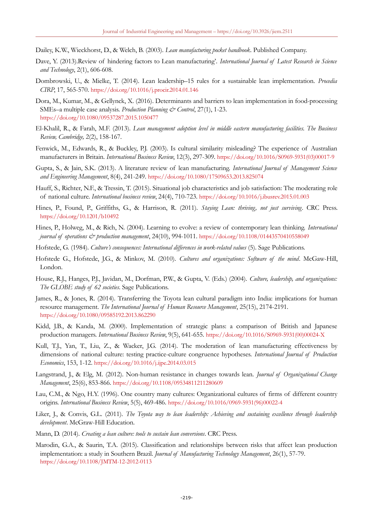Dailey, K.W., Wieckhorst, D., & Welch, B. (2003). *Lean manufacturing pocket handbook*. Published Company.

- Dave, Y. (2013).Review of hindering factors to Lean manufacturing'. *International Journal of Latest Research in Science and Technology*, 2(1), 606-608.
- Dombrowski, U., & Mielke, T. (2014). Lean leadership–15 rules for a sustainable lean implementation. *Procedia CIRP*, 17, 565-570. <https://doi.org/10.1016/j.procir.2014.01.146>
- Dora, M., Kumar, M., & Gellynck, X. (2016). Determinants and barriers to lean implementation in food-processing SMEs–a multiple case analysis. *Production Planning & Control*, 27(1), 1-23. [http](http://dx.doi.org/10.1080/09537287.2015.1050477)[s](http://dx.doi.org/10.1080/09537287.2015.1050477)[://doi.org/10.1080/09537287.2015.1050477](http://dx.doi.org/10.1080/09537287.2015.1050477)
- El-Khalil, R., & Farah, M.F. (2013). *Lean management adoption level in middle eastern manufacturing facilities. The Business Review, Cambridge,* 2(2), 158-167.
- Fenwick, M., Edwards, R., & Buckley, P.J. (2003). Is cultural similarity misleading? The experience of Australian manufacturers in Britain. *International Business Review*, 12(3), 297-309. [https://doi.org/10.1016/S0969-5931\(03\)00017-9](https://doi.org/10.1016/S0969-5931(03)00017-9)
- Gupta, S., & Jain, S.K. (2013). A literature review of lean manufacturing. *International Journal of Management Science and Engineering Management*, 8(4), 241-249. [http](http://dx.doi.org/10.1080/17509653.2013.825074)[s](http://dx.doi.org/10.1080/17509653.2013.825074)[://doi.org/10.1080/17509653.2013.825074](http://dx.doi.org/10.1080/17509653.2013.825074)
- Hauff, S., Richter, N.F., & Tressin, T. (2015). Situational job characteristics and job satisfaction: The moderating role of national culture. *International business review*, 24(4), 710-723. <https://doi.org/10.1016/j.ibusrev.2015.01.003>
- Hines, P., Found, P., Griffiths, G., & Harrison, R. (2011). *Staying Lean: thriving, not just surviving*. CRC Press. <https://doi.org/10.1201/b10492>
- Hines, P., Holweg, M., & Rich, N. (2004). Learning to evolve: a review of contemporary lean thinking. *International journal of operations & production management*, 24(10), 994-1011. <https://doi.org/10.1108/01443570410558049>
- Hofstede, G. (1984). *Culture's consequences: International differences in work-related values* (5). Sage Publications.
- Hofstede G., Hofstede, J.G., & Minkov, M. (2010). *Cultures and organizations: Software of the mind*. McGaw-Hill, London.
- House, R.J., Hanges, P.J., Javidan, M., Dorfman, P.W., & Gupta, V. (Eds.) (2004). *Culture, leadership, and organizations: The GLOBE study of 62 societies*. Sage Publications.
- James, R., & Jones, R. (2014). Transferring the Toyota lean cultural paradigm into India: implications for human resource management. *The International Journal of Human Resource Management*, 25(15), 2174-2191. [http](http://dx.doi.org/10.1080/09585192.2013.862290)[s](http://dx.doi.org/10.1080/09585192.2013.862290)[://doi.org/10.1080/09585192.2013.862290](http://dx.doi.org/10.1080/09585192.2013.862290)
- Kidd, J.B., & Kanda, M. (2000). Implementation of strategic plans: a comparison of British and Japanese production managers. *International Business Review*, 9(5), 641-655. [https://doi.org/10.1016/S0969-5931\(00\)00024-X](https://doi.org/10.1016/S0969-5931(00)00024-X)
- Kull, T.J., Yan, T., Liu, Z., & Wacker, J.G. (2014). The moderation of lean manufacturing effectiveness by dimensions of national culture: testing practice-culture congruence hypotheses. *International Journal of Production Economics*, 153, 1-12. <https://doi.org/10.1016/j.ijpe.2014.03.015>
- Langstrand, J., & Elg, M. (2012). Non-human resistance in changes towards lean. *Journal of Organizational Change Management*, 25(6), 853-866. <https://doi.org/10.1108/09534811211280609>
- Lau, C.M., & Ngo, H.Y. (1996). One country many cultures: Organizational cultures of firms of different country origins. *International Business Review*, 5(5), 469-486. [https://doi.org/10.1016/0969-5931\(96\)00022-4](https://doi.org/10.1016/0969-5931(96)00022-4)
- Liker, J., & Convis, G.L. (2011). *The Toyota way to lean leadership: Achieving and sustaining excellence through leadership development*. McGraw-Hill Education.
- Mann, D. (2014). *Creating a lean culture: tools to sustain lean conversions*. CRC Press.
- Marodin, G.A., & Saurin, T.A. (2015). Classification and relationships between risks that affect lean production implementation: a study in Southern Brazil. *Journal of Manufacturing Technology Management*, 26(1), 57-79. <https://doi.org/10.1108/JMTM-12-2012-0113>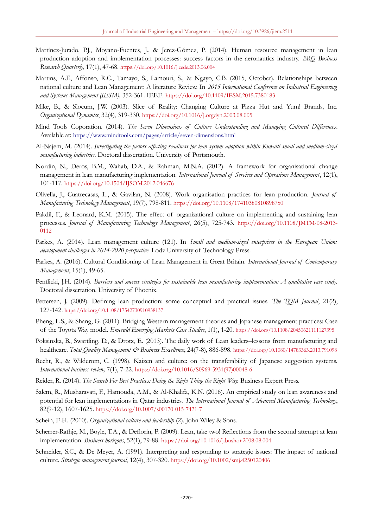- Martínez-Jurado, P.J., Moyano-Fuentes, J., & Jerez-Gómez, P. (2014). Human resource management in lean production adoption and implementation processes: success factors in the aeronautics industry. *BRQ Business Research Quarterly*, 17(1), 47-68. https://doi.org/10.1016/j.cede.2013.06.004
- Martins, A.F., Affonso, R.C., Tamayo, S., Lamouri, S., & Ngayo, C.B. (2015, October). Relationships between national culture and Lean Management: A literature Review. In *2015 International Conference on Industrial Engineering and Systems Management (IESM),* 352-361. IEEE. <https://doi.org/10.1109/IESM.2015.7380183>
- Mike, B., & Slocum, J.W. (2003). Slice of Reality: Changing Culture at Pizza Hut and Yum! Brands, Inc. *Organizational Dynamics*, 32(4), 319-330. <https://doi.org/10.1016/j.orgdyn.2003.08.005>
- Mind Tools Coporation. (2014). *The Seven Dimensions of Culture Understanding and Managing Cultural Differences*. Available at: <https://www.mindtools.com/pages/article/seven-dimensions.html>
- Al-Najem, M. (2014). *Investigating the factors affecting readiness for lean system adoption within Kuwaiti small and medium-sized manufacturing industries.* Doctoral dissertation. University of Portsmouth.
- Nordin, N., Deros, B.M., Wahab, D.A., & Rahman, M.N.A. (2012). A framework for organisational change management in lean manufacturing implementation. *International Journal of Services and Operations Management*, 12(1), 101-117. <https://doi.org/10.1504/IJSOM.2012.046676>
- Olivella, J., Cuatrecasas, L., & Gavilan, N. (2008). Work organisation practices for lean production. *Journal of Manufacturing Technology Management*, 19(7), 798-811. <https://doi.org/10.1108/17410380810898750>
- Pakdil, F., & Leonard, K.M. (2015). The effect of organizational culture on implementing and sustaining lean processes. *Journal of Manufacturing Technology Management*, 26(5), 725-743. [https://doi.org/10.1108/JMTM-08-2013-](https://doi.org/10.1108/JMTM-08-2013-0112) [0112](https://doi.org/10.1108/JMTM-08-2013-0112)
- Parkes, A. (2014). Lean management culture (121). In *Small and medium-sized enterprises in the European Union: development challenges in 2014-2020 perspective.* Lodz University of Technology Press.
- Parkes, A. (2016). Cultural Conditioning of Lean Management in Great Britain. *International Journal of Contemporary Management*, 15(1), 49-65.
- Pentlicki, J.H. (2014). *Barriers and success strategies for sustainable lean manufacturing implementation: A qualitative case study.* Doctoral dissertation. University of Phoenix.
- Pettersen, J. (2009). Defining lean production: some conceptual and practical issues. *The TQM Journal*, 21(2), 127-142. <https://doi.org/10.1108/17542730910938137>
- Pheng, L.S., & Shang, G. (2011). Bridging Western management theories and Japanese management practices: Case of the Toyota Way model. *Emerald Emerging Markets Case Studies*, 1(1), 1-20. <https://doi.org/10.1108/20450621111127395>
- Poksinska, B., Swartling, D., & Drotz, E. (2013). The daily work of Lean leaders–lessons from manufacturing and healthcare. *Total Quality Management & Business Excellence*, 24(7-8), 886-898. [https://doi.org/10.1080/14783363.2013.791098](http://dx.doi.org/10.1080/14783363.2013.791098)
- Recht, R., & Wilderom, C. (1998). Kaizen and culture: on the transferability of Japanese suggestion systems. *International business review,* 7(1), 7-22. [https://doi.org/10.1016/S0969-5931\(97\)00048-6](https://doi.org/10.1016/S0969-5931(97)00048-6)
- Reider, R. (2014). *The Search For Best Practices: Doing the Right Thing the Right Way*. Business Expert Press.
- Salem, R., Musharavati, F., Hamouda, A.M., & Al-Khalifa, K.N. (2016). An empirical study on lean awareness and potential for lean implementations in Qatar industries. *The International Journal of Advanced Manufacturing Technology*, 82(9-12), 1607-1625. <https://doi.org/10.1007/s00170-015-7421-7>
- Schein, E.H. (2010). *Organizational culture and leadership* (2). John Wiley & Sons.
- Scherrer-Rathje, M., Boyle, T.A., & Deflorin, P. (2009). Lean, take two! Reflections from the second attempt at lean implementation. *Business horizons*, 52(1), 79-88. <https://doi.org/10.1016/j.bushor.2008.08.004>
- Schneider, S.C., & De Meyer, A. (1991). Interpreting and responding to strategic issues: The impact of national culture. *Strategic management journal*, 12(4), 307-320. <https://doi.org/10.1002/smj.4250120406>